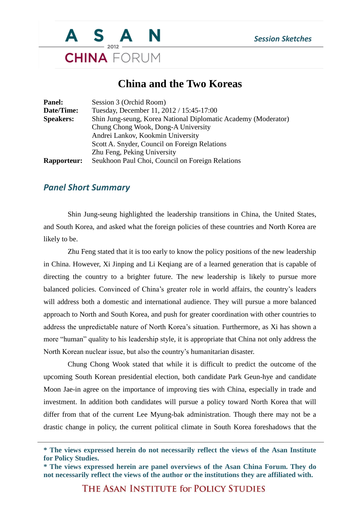

## **China and the Two Koreas**

| Session 3 (Orchid Room)                                        |
|----------------------------------------------------------------|
| Tuesday, December 11, 2012 / 15:45-17:00                       |
| Shin Jung-seung, Korea National Diplomatic Academy (Moderator) |
| Chung Chong Wook, Dong-A University                            |
| Andrei Lankov, Kookmin University                              |
| Scott A. Snyder, Council on Foreign Relations                  |
| Zhu Feng, Peking University                                    |
| Seukhoon Paul Choi, Council on Foreign Relations               |
|                                                                |

## *Panel Short Summary*

Shin Jung-seung highlighted the leadership transitions in China, the United States, and South Korea, and asked what the foreign policies of these countries and North Korea are likely to be.

Zhu Feng stated that it is too early to know the policy positions of the new leadership in China. However, Xi Jinping and Li Keqiang are of a learned generation that is capable of directing the country to a brighter future. The new leadership is likely to pursue more balanced policies. Convinced of China's greater role in world affairs, the country's leaders will address both a domestic and international audience. They will pursue a more balanced approach to North and South Korea, and push for greater coordination with other countries to address the unpredictable nature of North Korea's situation. Furthermore, as Xi has shown a more "human" quality to his leadership style, it is appropriate that China not only address the North Korean nuclear issue, but also the country's humanitarian disaster.

Chung Chong Wook stated that while it is difficult to predict the outcome of the upcoming South Korean presidential election, both candidate Park Geun-hye and candidate Moon Jae-in agree on the importance of improving ties with China, especially in trade and investment. In addition both candidates will pursue a policy toward North Korea that will differ from that of the current Lee Myung-bak administration. Though there may not be a drastic change in policy, the current political climate in South Korea foreshadows that the

THE ASAN INSTITUTE for POLICY STUDIES

**<sup>\*</sup> The views expressed herein do not necessarily reflect the views of the Asan Institute for Policy Studies.**

**<sup>\*</sup> The views expressed herein are panel overviews of the Asan China Forum. They do not necessarily reflect the views of the author or the institutions they are affiliated with.**